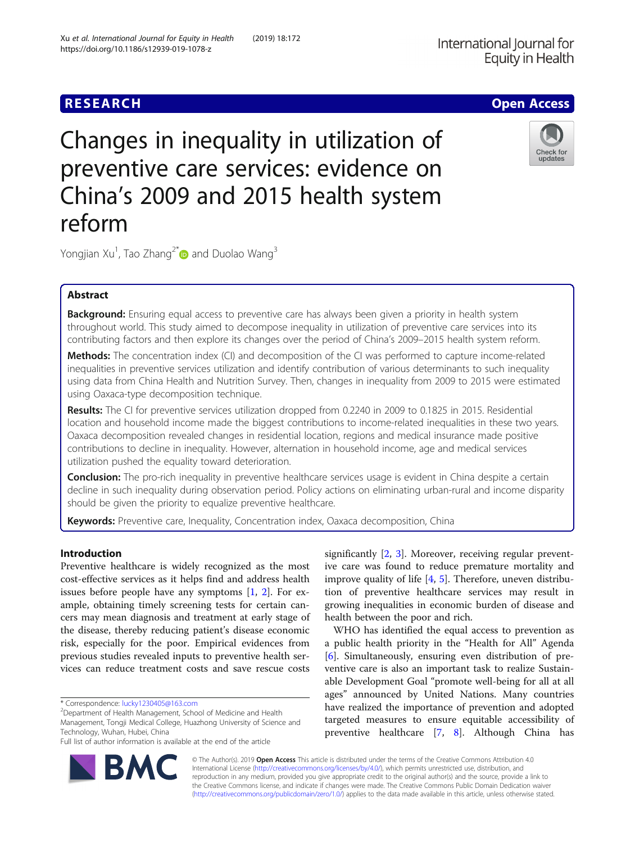# Changes in inequality in utilization of preventive care services: evidence on China's 2009 and 2015 health system reform

Yongjian Xu<sup>1</sup>, Tao Zhang<sup>2[\\*](http://orcid.org/0000-0003-0146-5371)</sup> $\bm{\mathsf{\scriptsize{D}}}$  and Duolao Wang $^3$ 

# Abstract

Background: Ensuring equal access to preventive care has always been given a priority in health system throughout world. This study aimed to decompose inequality in utilization of preventive care services into its contributing factors and then explore its changes over the period of China's 2009–2015 health system reform.

Methods: The concentration index (CI) and decomposition of the CI was performed to capture income-related inequalities in preventive services utilization and identify contribution of various determinants to such inequality using data from China Health and Nutrition Survey. Then, changes in inequality from 2009 to 2015 were estimated using Oaxaca-type decomposition technique.

Results: The CI for preventive services utilization dropped from 0.2240 in 2009 to 0.1825 in 2015. Residential location and household income made the biggest contributions to income-related inequalities in these two years. Oaxaca decomposition revealed changes in residential location, regions and medical insurance made positive contributions to decline in inequality. However, alternation in household income, age and medical services utilization pushed the equality toward deterioration.

**Conclusion:** The pro-rich inequality in preventive healthcare services usage is evident in China despite a certain decline in such inequality during observation period. Policy actions on eliminating urban-rural and income disparity should be given the priority to equalize preventive healthcare.

Keywords: Preventive care, Inequality, Concentration index, Oaxaca decomposition, China

# Introduction

Preventive healthcare is widely recognized as the most cost-effective services as it helps find and address health issues before people have any symptoms [[1](#page-8-0), [2\]](#page-8-0). For example, obtaining timely screening tests for certain cancers may mean diagnosis and treatment at early stage of the disease, thereby reducing patient's disease economic risk, especially for the poor. Empirical evidences from previous studies revealed inputs to preventive health services can reduce treatment costs and save rescue costs

\* Correspondence: [lucky1230405@163.com](mailto:lucky1230405@163.com) <sup>2</sup>

RA

<sup>2</sup>Department of Health Management, School of Medicine and Health Management, Tongji Medical College, Huazhong University of Science and Technology, Wuhan, Hubei, China

Full list of author information is available at the end of the article

significantly [\[2](#page-8-0), [3](#page-8-0)]. Moreover, receiving regular preventive care was found to reduce premature mortality and improve quality of life [[4,](#page-8-0) [5\]](#page-8-0). Therefore, uneven distribution of preventive healthcare services may result in growing inequalities in economic burden of disease and health between the poor and rich.

WHO has identified the equal access to prevention as a public health priority in the "Health for All" Agenda [[6\]](#page-8-0). Simultaneously, ensuring even distribution of preventive care is also an important task to realize Sustainable Development Goal "promote well-being for all at all ages" announced by United Nations. Many countries have realized the importance of prevention and adopted targeted measures to ensure equitable accessibility of preventive healthcare [[7,](#page-8-0) [8\]](#page-8-0). Although China has

© The Author(s). 2019 Open Access This article is distributed under the terms of the Creative Commons Attribution 4.0 International License [\(http://creativecommons.org/licenses/by/4.0/](http://creativecommons.org/licenses/by/4.0/)), which permits unrestricted use, distribution, and reproduction in any medium, provided you give appropriate credit to the original author(s) and the source, provide a link to the Creative Commons license, and indicate if changes were made. The Creative Commons Public Domain Dedication waiver [\(http://creativecommons.org/publicdomain/zero/1.0/](http://creativecommons.org/publicdomain/zero/1.0/)) applies to the data made available in this article, unless otherwise stated.







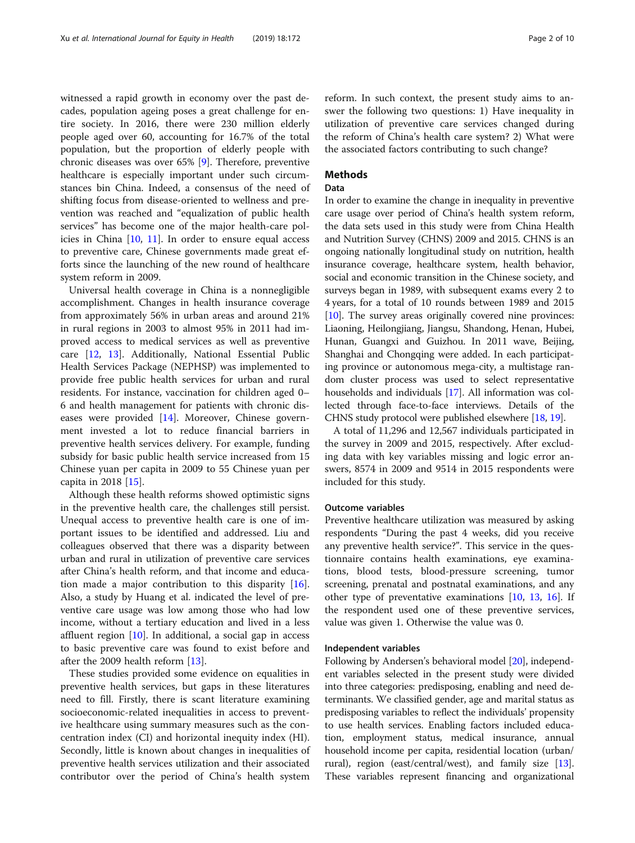witnessed a rapid growth in economy over the past decades, population ageing poses a great challenge for entire society. In 2016, there were 230 million elderly people aged over 60, accounting for 16.7% of the total population, but the proportion of elderly people with chronic diseases was over 65% [[9\]](#page-8-0). Therefore, preventive healthcare is especially important under such circumstances bin China. Indeed, a consensus of the need of shifting focus from disease-oriented to wellness and prevention was reached and "equalization of public health services" has become one of the major health-care policies in China [[10,](#page-8-0) [11\]](#page-8-0). In order to ensure equal access to preventive care, Chinese governments made great efforts since the launching of the new round of healthcare system reform in 2009.

Universal health coverage in China is a nonnegligible accomplishment. Changes in health insurance coverage from approximately 56% in urban areas and around 21% in rural regions in 2003 to almost 95% in 2011 had improved access to medical services as well as preventive care [\[12,](#page-8-0) [13](#page-8-0)]. Additionally, National Essential Public Health Services Package (NEPHSP) was implemented to provide free public health services for urban and rural residents. For instance, vaccination for children aged 0– 6 and health management for patients with chronic dis-eases were provided [[14](#page-8-0)]. Moreover, Chinese government invested a lot to reduce financial barriers in preventive health services delivery. For example, funding subsidy for basic public health service increased from 15 Chinese yuan per capita in 2009 to 55 Chinese yuan per capita in 2018 [\[15](#page-8-0)].

Although these health reforms showed optimistic signs in the preventive health care, the challenges still persist. Unequal access to preventive health care is one of important issues to be identified and addressed. Liu and colleagues observed that there was a disparity between urban and rural in utilization of preventive care services after China's health reform, and that income and education made a major contribution to this disparity [\[16](#page-8-0)]. Also, a study by Huang et al. indicated the level of preventive care usage was low among those who had low income, without a tertiary education and lived in a less affluent region [[10\]](#page-8-0). In additional, a social gap in access to basic preventive care was found to exist before and after the 2009 health reform [[13\]](#page-8-0).

These studies provided some evidence on equalities in preventive health services, but gaps in these literatures need to fill. Firstly, there is scant literature examining socioeconomic-related inequalities in access to preventive healthcare using summary measures such as the concentration index (CI) and horizontal inequity index (HI). Secondly, little is known about changes in inequalities of preventive health services utilization and their associated contributor over the period of China's health system reform. In such context, the present study aims to answer the following two questions: 1) Have inequality in utilization of preventive care services changed during the reform of China's health care system? 2) What were the associated factors contributing to such change?

# **Methods**

#### Data

In order to examine the change in inequality in preventive care usage over period of China's health system reform, the data sets used in this study were from China Health and Nutrition Survey (CHNS) 2009 and 2015. CHNS is an ongoing nationally longitudinal study on nutrition, health insurance coverage, healthcare system, health behavior, social and economic transition in the Chinese society, and surveys began in 1989, with subsequent exams every 2 to 4 years, for a total of 10 rounds between 1989 and 2015 [[10](#page-8-0)]. The survey areas originally covered nine provinces: Liaoning, Heilongjiang, Jiangsu, Shandong, Henan, Hubei, Hunan, Guangxi and Guizhou. In 2011 wave, Beijing, Shanghai and Chongqing were added. In each participating province or autonomous mega-city, a multistage random cluster process was used to select representative households and individuals [[17](#page-8-0)]. All information was collected through face-to-face interviews. Details of the CHNS study protocol were published elsewhere [[18](#page-8-0), [19\]](#page-8-0).

A total of 11,296 and 12,567 individuals participated in the survey in 2009 and 2015, respectively. After excluding data with key variables missing and logic error answers, 8574 in 2009 and 9514 in 2015 respondents were included for this study.

## Outcome variables

Preventive healthcare utilization was measured by asking respondents "During the past 4 weeks, did you receive any preventive health service?". This service in the questionnaire contains health examinations, eye examinations, blood tests, blood-pressure screening, tumor screening, prenatal and postnatal examinations, and any other type of preventative examinations [\[10](#page-8-0), [13](#page-8-0), [16\]](#page-8-0). If the respondent used one of these preventive services, value was given 1. Otherwise the value was 0.

### Independent variables

Following by Andersen's behavioral model [\[20\]](#page-8-0), independent variables selected in the present study were divided into three categories: predisposing, enabling and need determinants. We classified gender, age and marital status as predisposing variables to reflect the individuals' propensity to use health services. Enabling factors included education, employment status, medical insurance, annual household income per capita, residential location (urban/ rural), region (east/central/west), and family size [[13](#page-8-0)]. These variables represent financing and organizational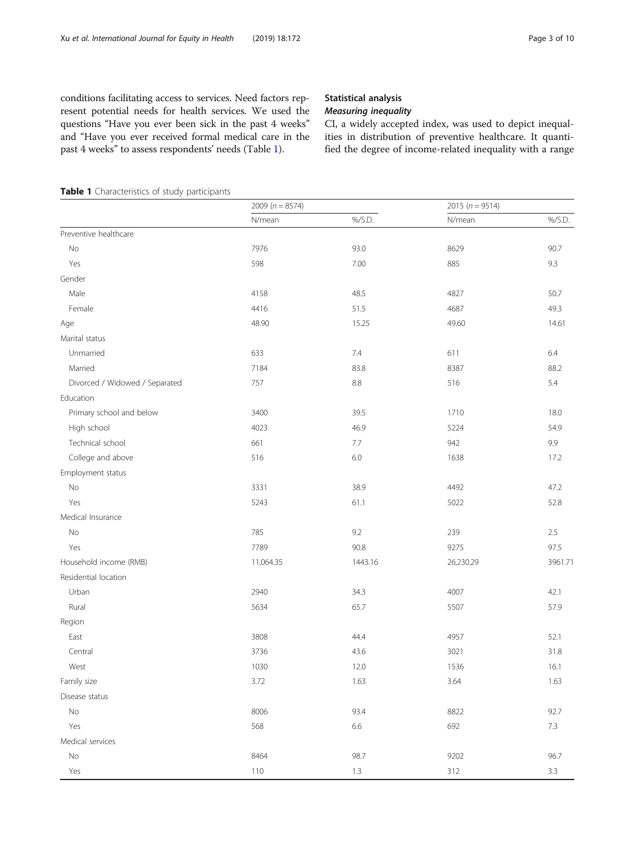<span id="page-2-0"></span>conditions facilitating access to services. Need factors represent potential needs for health services. We used the questions "Have you ever been sick in the past 4 weeks" and "Have you ever received formal medical care in the past 4 weeks" to assess respondents' needs (Table 1).

# Statistical analysis

CI, a widely accepted index, was used to depict inequalities in distribution of preventive healthcare. It quantified the degree of income-related inequality with a range

```
Table 1 Characteristics of study participants
```

|                                | 2009 ( $n = 8574$ ) |            | 2015 ( $n = 9514$ ) |         |  |
|--------------------------------|---------------------|------------|---------------------|---------|--|
|                                | N/mean              | %/S.D.     | N/mean              | %/S.D.  |  |
| Preventive healthcare          |                     |            |                     |         |  |
| $\rm No$                       | 7976                | 93.0       | 8629                | 90.7    |  |
| Yes                            | 598                 | 7.00       | 885                 | 9.3     |  |
| Gender                         |                     |            |                     |         |  |
| Male                           | 4158                | 48.5       | 4827                | 50.7    |  |
| Female                         | 4416                | 51.5       | 4687                | 49.3    |  |
| Age                            | 48.90               | 15.25      | 49.60               | 14.61   |  |
| Marital status                 |                     |            |                     |         |  |
| Unmarried                      | 633                 | 7.4        | 611                 | $6.4\,$ |  |
| Married                        | 7184                | 83.8       | 8387                | 88.2    |  |
| Divorced / Widowed / Separated | 757                 | $\ \, 8.8$ | 516                 | 5.4     |  |
| Education                      |                     |            |                     |         |  |
| Primary school and below       | 3400                | 39.5       | 1710                | 18.0    |  |
| High school                    | 4023                | 46.9       | 5224                | 54.9    |  |
| Technical school               | 661                 | 7.7        | 942                 | 9.9     |  |
| College and above              | 516                 | $6.0\,$    | 1638                | 17.2    |  |
| Employment status              |                     |            |                     |         |  |
| No                             | 3331                | 38.9       | 4492                | 47.2    |  |
| Yes                            | 5243                | 61.1       | 5022                | 52.8    |  |
| Medical Insurance              |                     |            |                     |         |  |
| No                             | 785                 | 9.2        | 239                 | 2.5     |  |
| Yes                            | 7789                | 90.8       | 9275                | 97.5    |  |
| Household income (RMB)         | 11,064.35           | 1443.16    | 26,230.29           | 3961.71 |  |
| Residential location           |                     |            |                     |         |  |
| Urban                          | 2940                | 34.3       | 4007                | 42.1    |  |
| Rural                          | 5634                | 65.7       | 5507                | 57.9    |  |
| Region                         |                     |            |                     |         |  |
| East                           | 3808                | 44.4       | 4957                | 52.1    |  |
| Central                        | 3736                | 43.6       | 3021                | 31.8    |  |
| West                           | 1030                | 12.0       | 1536                | 16.1    |  |
| Family size                    | 3.72                | 1.63       | 3.64                | 1.63    |  |
| Disease status                 |                     |            |                     |         |  |
| No                             | 8006                | 93.4       | 8822                | 92.7    |  |
| Yes                            | 568                 | 6.6        | 692                 | $7.3\,$ |  |
| Medical services               |                     |            |                     |         |  |
| $\mathsf{No}$                  | 8464                | 98.7       | 9202                | 96.7    |  |
| Yes                            | 110                 | $1.3\,$    | 312                 | $3.3\,$ |  |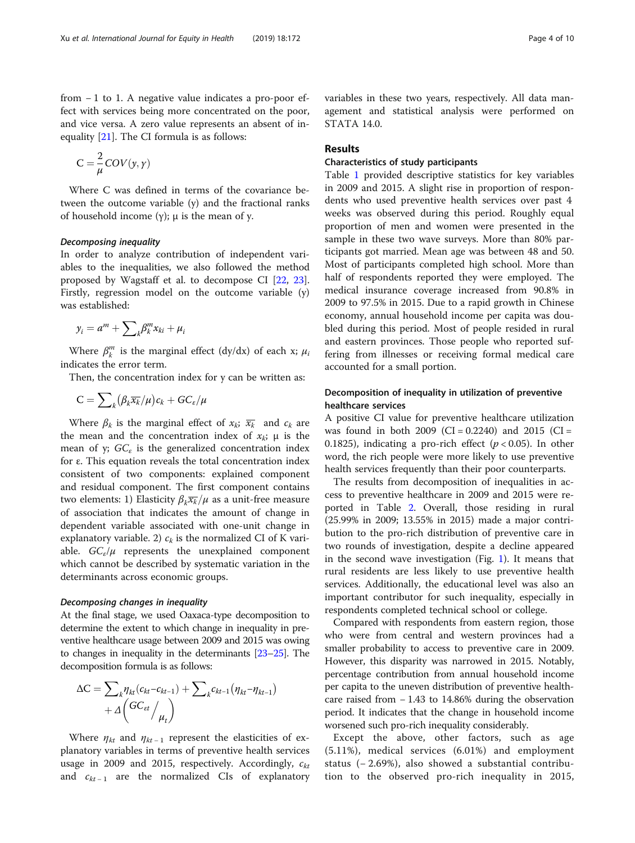from − 1 to 1. A negative value indicates a pro-poor effect with services being more concentrated on the poor, and vice versa. A zero value represents an absent of inequality [[21\]](#page-8-0). The CI formula is as follows:

$$
C = \frac{2}{\mu} COV(y, \gamma)
$$

Where C was defined in terms of the covariance between the outcome variable (y) and the fractional ranks of household income (γ); μ is the mean of y.

In order to analyze contribution of independent variables to the inequalities, we also followed the method proposed by Wagstaff et al. to decompose CI [\[22,](#page-8-0) [23](#page-8-0)]. Firstly, regression model on the outcome variable (y) was established:

$$
y_i = a^m + \sum_k \beta_k^m x_{ki} + \mu_i
$$

Where  $\beta_k^m$  is the marginal effect (dy/dx) of each x;  $\mu_i$ indicates the error term.

Then, the concentration index for y can be written as:

$$
C=\sum\nolimits_k \bigl(\beta_k \overline{x_k}/\mu\bigr)c_k+GC_{\varepsilon}/\mu
$$

Where  $\beta_k$  is the marginal effect of  $x_k$ ;  $\overline{x_k}$  and  $c_k$  are the mean and the concentration index of  $x_k$ ;  $\mu$  is the mean of y;  $GC<sub>\epsilon</sub>$  is the generalized concentration index for ε. This equation reveals the total concentration index consistent of two components: explained component and residual component. The first component contains two elements: 1) Elasticity  $\beta_k \overline{x_k}/\mu$  as a unit-free measure of association that indicates the amount of change in dependent variable associated with one-unit change in explanatory variable. 2)  $c_k$  is the normalized CI of K variable.  $GC_e/\mu$  represents the unexplained component which cannot be described by systematic variation in the determinants across economic groups.

At the final stage, we used Oaxaca-type decomposition to determine the extent to which change in inequality in preventive healthcare usage between 2009 and 2015 was owing to changes in inequality in the determinants [\[23](#page-8-0)–[25](#page-8-0)]. The decomposition formula is as follows:

$$
\Delta C = \sum_{k} \eta_{kt} (c_{kt} - c_{kt-1}) + \sum_{k} c_{kt-1} (\eta_{kt} - \eta_{kt-1}) + \Delta \left( \frac{GC_{\text{et}}}{\mu_t} \right)
$$

Where  $\eta_{kt}$  and  $\eta_{kt-1}$  represent the elasticities of explanatory variables in terms of preventive health services usage in 2009 and 2015, respectively. Accordingly,  $c_{kt}$ and  $c_{kt-1}$  are the normalized CIs of explanatory variables in these two years, respectively. All data management and statistical analysis were performed on STATA 14.0.

# Results

# Characteristics of study participants

Table [1](#page-2-0) provided descriptive statistics for key variables in 2009 and 2015. A slight rise in proportion of respondents who used preventive health services over past 4 weeks was observed during this period. Roughly equal proportion of men and women were presented in the sample in these two wave surveys. More than 80% participants got married. Mean age was between 48 and 50. Most of participants completed high school. More than half of respondents reported they were employed. The medical insurance coverage increased from 90.8% in 2009 to 97.5% in 2015. Due to a rapid growth in Chinese economy, annual household income per capita was doubled during this period. Most of people resided in rural and eastern provinces. Those people who reported suffering from illnesses or receiving formal medical care accounted for a small portion.

# Decomposition of inequality in utilization of preventive healthcare services

A positive CI value for preventive healthcare utilization was found in both 2009 (CI =  $0.2240$ ) and 2015 (CI = 0.1825), indicating a pro-rich effect ( $p < 0.05$ ). In other word, the rich people were more likely to use preventive health services frequently than their poor counterparts.

The results from decomposition of inequalities in access to preventive healthcare in 2009 and 2015 were reported in Table [2](#page-4-0). Overall, those residing in rural (25.99% in 2009; 13.55% in 2015) made a major contribution to the pro-rich distribution of preventive care in two rounds of investigation, despite a decline appeared in the second wave investigation (Fig. [1\)](#page-5-0). It means that rural residents are less likely to use preventive health services. Additionally, the educational level was also an important contributor for such inequality, especially in respondents completed technical school or college.

Compared with respondents from eastern region, those who were from central and western provinces had a smaller probability to access to preventive care in 2009. However, this disparity was narrowed in 2015. Notably, percentage contribution from annual household income per capita to the uneven distribution of preventive healthcare raised from − 1.43 to 14.86% during the observation period. It indicates that the change in household income worsened such pro-rich inequality considerably.

Except the above, other factors, such as age (5.11%), medical services (6.01%) and employment status (− 2.69%), also showed a substantial contribution to the observed pro-rich inequality in 2015,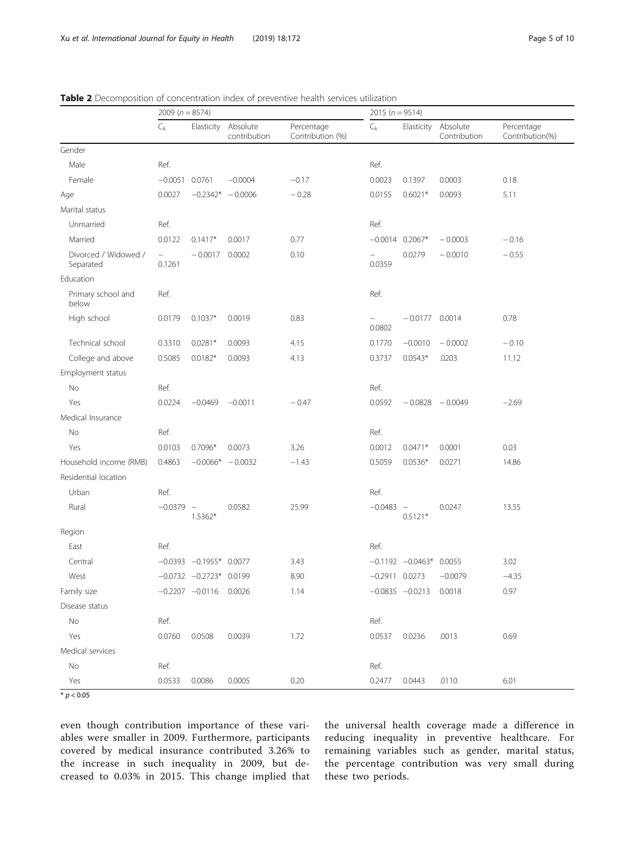|                                   | 2009 ( $n = 8574$ )                |                                     |                          | 2015 ( $n = 9514$ )            |                  |                             |                          |                               |
|-----------------------------------|------------------------------------|-------------------------------------|--------------------------|--------------------------------|------------------|-----------------------------|--------------------------|-------------------------------|
|                                   | $C_{k}$                            | Elasticity                          | Absolute<br>contribution | Percentage<br>Contribution (%) | $C_{k}$          | Elasticity                  | Absolute<br>Contribution | Percentage<br>Contribution(%) |
| Gender                            |                                    |                                     |                          |                                |                  |                             |                          |                               |
| Male                              | Ref.                               |                                     |                          |                                | Ref.             |                             |                          |                               |
| Female                            | $-0.0051$ 0.0761                   |                                     | $-0.0004$                | $-0.17$                        | 0.0023           | 0.1397                      | 0.0003                   | 0.18                          |
| Age                               | 0.0027                             |                                     | $-0.2342* -0.0006$       | $-0.28$                        | 0.0155           | $0.6021*$                   | 0.0093                   | 5.11                          |
| Marital status                    |                                    |                                     |                          |                                |                  |                             |                          |                               |
| Unmarried                         | Ref.                               |                                     |                          |                                | Ref.             |                             |                          |                               |
| Married                           | 0.0122                             | $0.1417*$                           | 0.0017                   | 0.77                           |                  | $-0.0014$ 0.2067*           | $-0.0003$                | $-0.16$                       |
| Divorced / Widowed /<br>Separated | $\overline{\phantom{0}}$<br>0.1261 | $-0.0017$                           | 0.0002                   | 0.10                           | 0.0359           | 0.0279                      | $-0.0010$                | $-0.55$                       |
| Education                         |                                    |                                     |                          |                                |                  |                             |                          |                               |
| Primary school and<br>below       | Ref.                               |                                     |                          |                                | Ref.             |                             |                          |                               |
| High school                       | 0.0179                             | $0.1037*$                           | 0.0019                   | 0.83                           | 0.0802           | $-0.0177$ 0.0014            |                          | 0.78                          |
| Technical school                  | 0.3310                             | $0.0281*$                           | 0.0093                   | 4.15                           | 0.1770           | $-0.0010$                   | $-0.0002$                | $-0.10$                       |
| College and above                 | 0.5085                             | $0.0182*$                           | 0.0093                   | 4.13                           | 0.3737           | $0.0543*$                   | .0203                    | 11.12                         |
| Employment status                 |                                    |                                     |                          |                                |                  |                             |                          |                               |
| No                                | Ref.                               |                                     |                          |                                | Ref.             |                             |                          |                               |
| Yes                               | 0.0224                             | $-0.0469$                           | $-0.0011$                | $-0.47$                        | 0.0592           |                             | $-0.0828 - 0.0049$       | $-2.69$                       |
| Medical Insurance                 |                                    |                                     |                          |                                |                  |                             |                          |                               |
| No                                | Ref.                               |                                     |                          |                                | Ref.             |                             |                          |                               |
| Yes                               | 0.0103                             | $0.7096*$                           | 0.0073                   | 3.26                           | 0.0012           | $0.0471*$                   | 0.0001                   | 0.03                          |
| Household income (RMB)            | 0.4863                             |                                     | $-0.0066* -0.0032$       | $-1.43$                        | 0.5059           | $0.0536*$                   | 0.0271                   | 14.86                         |
| Residential location              |                                    |                                     |                          |                                |                  |                             |                          |                               |
| Urban                             | Ref.                               |                                     |                          |                                | Ref.             |                             |                          |                               |
| Rural                             | $-0.0379$                          | $\overline{\phantom{a}}$<br>1.5362* | 0.0582                   | 25.99                          | $-0.0483 -$      | $0.5121*$                   | 0.0247                   | 13.55                         |
| Region                            |                                    |                                     |                          |                                |                  |                             |                          |                               |
| East                              | Ref.                               |                                     |                          |                                | Ref.             |                             |                          |                               |
| Central                           |                                    | $-0.0393$ $-0.1955*$ 0.0077         |                          | 3.43                           |                  | $-0.1192$ $-0.0463*$ 0.0055 |                          | 3.02                          |
| West                              |                                    | $-0.0732$ $-0.2723*$ 0.0199         |                          | 8.90                           | $-0.2911$ 0.0273 |                             | $-0.0079$                | $-4.35$                       |
| Family size                       |                                    | $-0.2207$ $-0.0116$ 0.0026          |                          | 1.14                           |                  | $-0.0835 -0.0213$ 0.0018    |                          | 0.97                          |
| Disease status                    |                                    |                                     |                          |                                |                  |                             |                          |                               |
| No                                | Ref.                               |                                     |                          |                                | Ref.             |                             |                          |                               |
| Yes                               | 0.0760                             | 0.0508                              | 0.0039                   | 1.72                           | 0.0537           | 0.0236                      | .0013                    | 0.69                          |
| Medical services                  |                                    |                                     |                          |                                |                  |                             |                          |                               |
| No                                | Ref.                               |                                     |                          |                                | Ref.             |                             |                          |                               |
| Yes                               | 0.0533                             | 0.0086                              | 0.0005                   | 0.20                           | 0.2477           | 0.0443                      | .0110                    | 6.01                          |

<span id="page-4-0"></span>

| <b>Table 2</b> Decomposition of concentration index of preventive health services utilization |  |
|-----------------------------------------------------------------------------------------------|--|
|-----------------------------------------------------------------------------------------------|--|

 $\frac{1}{2} p < 0.05$ 

even though contribution importance of these variables were smaller in 2009. Furthermore, participants covered by medical insurance contributed 3.26% to the increase in such inequality in 2009, but decreased to 0.03% in 2015. This change implied that the universal health coverage made a difference in reducing inequality in preventive healthcare. For remaining variables such as gender, marital status, the percentage contribution was very small during these two periods.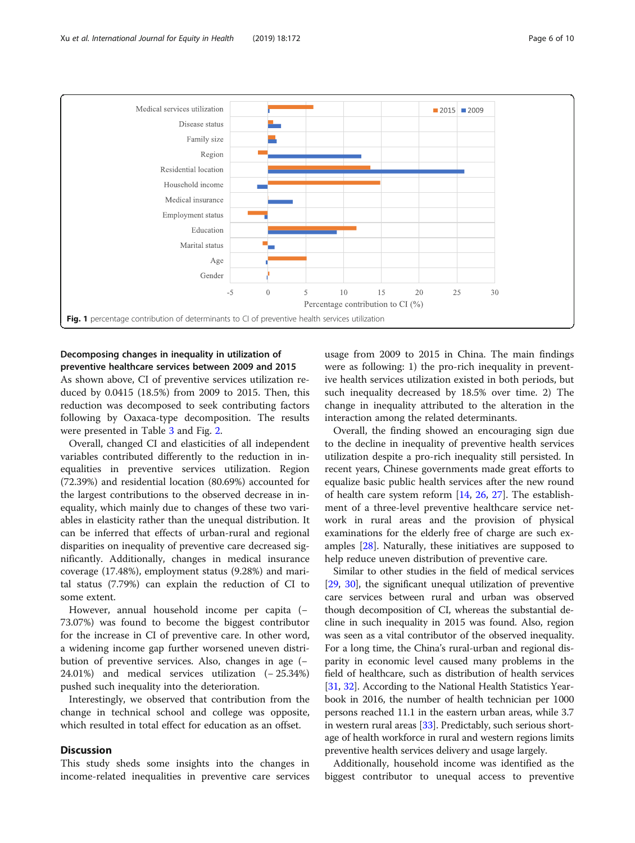<span id="page-5-0"></span>

# Decomposing changes in inequality in utilization of preventive healthcare services between 2009 and 2015

As shown above, CI of preventive services utilization reduced by 0.0415 (18.5%) from 2009 to 2015. Then, this reduction was decomposed to seek contributing factors following by Oaxaca-type decomposition. The results were presented in Table [3](#page-6-0) and Fig. [2.](#page-7-0)

Overall, changed CI and elasticities of all independent variables contributed differently to the reduction in inequalities in preventive services utilization. Region (72.39%) and residential location (80.69%) accounted for the largest contributions to the observed decrease in inequality, which mainly due to changes of these two variables in elasticity rather than the unequal distribution. It can be inferred that effects of urban-rural and regional disparities on inequality of preventive care decreased significantly. Additionally, changes in medical insurance coverage (17.48%), employment status (9.28%) and marital status (7.79%) can explain the reduction of CI to some extent.

However, annual household income per capita (− 73.07%) was found to become the biggest contributor for the increase in CI of preventive care. In other word, a widening income gap further worsened uneven distribution of preventive services. Also, changes in age (− 24.01%) and medical services utilization (− 25.34%) pushed such inequality into the deterioration.

Interestingly, we observed that contribution from the change in technical school and college was opposite, which resulted in total effect for education as an offset.

# **Discussion**

This study sheds some insights into the changes in income-related inequalities in preventive care services

usage from 2009 to 2015 in China. The main findings were as following: 1) the pro-rich inequality in preventive health services utilization existed in both periods, but such inequality decreased by 18.5% over time. 2) The change in inequality attributed to the alteration in the interaction among the related determinants.

Overall, the finding showed an encouraging sign due to the decline in inequality of preventive health services utilization despite a pro-rich inequality still persisted. In recent years, Chinese governments made great efforts to equalize basic public health services after the new round of health care system reform [[14,](#page-8-0) [26](#page-8-0), [27](#page-8-0)]. The establishment of a three-level preventive healthcare service network in rural areas and the provision of physical examinations for the elderly free of charge are such examples [\[28](#page-8-0)]. Naturally, these initiatives are supposed to help reduce uneven distribution of preventive care.

Similar to other studies in the field of medical services [[29](#page-8-0), [30](#page-8-0)], the significant unequal utilization of preventive care services between rural and urban was observed though decomposition of CI, whereas the substantial decline in such inequality in 2015 was found. Also, region was seen as a vital contributor of the observed inequality. For a long time, the China's rural-urban and regional disparity in economic level caused many problems in the field of healthcare, such as distribution of health services [[31](#page-8-0), [32](#page-8-0)]. According to the National Health Statistics Yearbook in 2016, the number of health technician per 1000 persons reached 11.1 in the eastern urban areas, while 3.7 in western rural areas [\[33](#page-8-0)]. Predictably, such serious shortage of health workforce in rural and western regions limits preventive health services delivery and usage largely.

Additionally, household income was identified as the biggest contributor to unequal access to preventive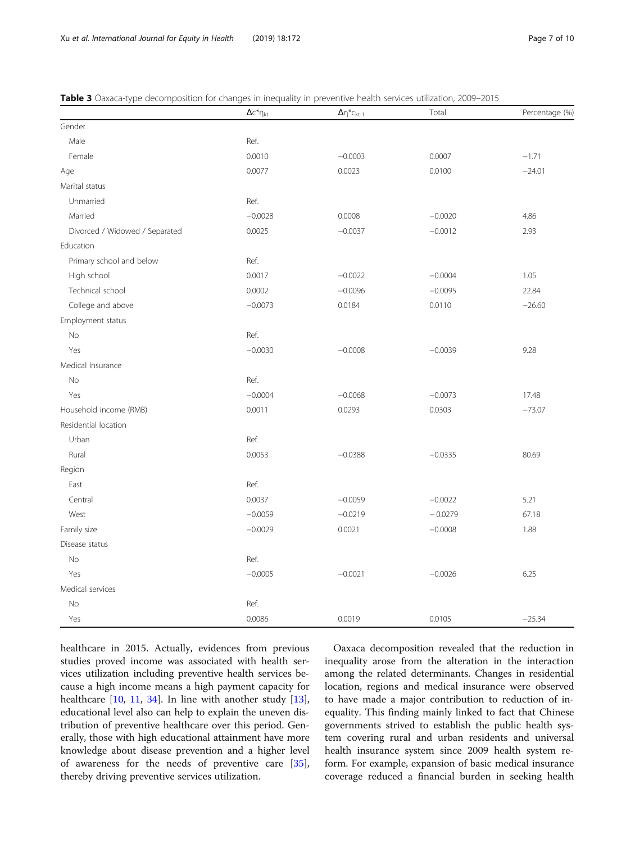|                                | $\Delta c^*\eta_{kt}$ | $\Delta \eta^* c_{kt-1}$ | Total     | Percentage (%) |
|--------------------------------|-----------------------|--------------------------|-----------|----------------|
| Gender                         |                       |                          |           |                |
| Male                           | Ref.                  |                          |           |                |
| Female                         | 0.0010                | $-0.0003$                | 0.0007    | $-1.71$        |
| Age                            | 0.0077                | 0.0023                   | 0.0100    | $-24.01$       |
| Marital status                 |                       |                          |           |                |
| Unmarried                      | Ref.                  |                          |           |                |
| Married                        | $-0.0028$             | 0.0008                   | $-0.0020$ | 4.86           |
| Divorced / Widowed / Separated | 0.0025                | $-0.0037$                | $-0.0012$ | 2.93           |
| Education                      |                       |                          |           |                |
| Primary school and below       | Ref.                  |                          |           |                |
| High school                    | 0.0017                | $-0.0022$                | $-0.0004$ | 1.05           |
| Technical school               | 0.0002                | $-0.0096$                | $-0.0095$ | 22.84          |
| College and above              | $-0.0073$             | 0.0184                   | 0.0110    | $-26.60$       |
| Employment status              |                       |                          |           |                |
| No                             | Ref.                  |                          |           |                |
| Yes                            | $-0.0030$             | $-0.0008$                | $-0.0039$ | 9.28           |
| Medical Insurance              |                       |                          |           |                |
| No                             | Ref.                  |                          |           |                |
| Yes                            | $-0.0004$             | $-0.0068$                | $-0.0073$ | 17.48          |
| Household income (RMB)         | 0.0011                | 0.0293                   | 0.0303    | $-73.07$       |
| Residential location           |                       |                          |           |                |
| Urban                          | Ref.                  |                          |           |                |
| Rural                          | 0.0053                | $-0.0388$                | $-0.0335$ | 80.69          |
| Region                         |                       |                          |           |                |
| East                           | Ref.                  |                          |           |                |
| Central                        | 0.0037                | $-0.0059$                | $-0.0022$ | 5.21           |
| West                           | $-0.0059$             | $-0.0219$                | $-0.0279$ | 67.18          |
| Family size                    | $-0.0029$             | 0.0021                   | $-0.0008$ | 1.88           |
| Disease status                 |                       |                          |           |                |
| No                             | Ref.                  |                          |           |                |
| Yes                            | $-0.0005$             | $-0.0021$                | $-0.0026$ | 6.25           |
| Medical services               |                       |                          |           |                |
| No                             | Ref.                  |                          |           |                |
| Yes                            | 0.0086                | 0.0019                   | 0.0105    | $-25.34$       |

<span id="page-6-0"></span>Table 3 Oaxaca-type decomposition for changes in inequality in preventive health services utilization, 2009–2015

healthcare in 2015. Actually, evidences from previous studies proved income was associated with health services utilization including preventive health services because a high income means a high payment capacity for healthcare [[10,](#page-8-0) [11,](#page-8-0) [34\]](#page-8-0). In line with another study [\[13](#page-8-0)], educational level also can help to explain the uneven distribution of preventive healthcare over this period. Generally, those with high educational attainment have more knowledge about disease prevention and a higher level of awareness for the needs of preventive care [\[35](#page-8-0)], thereby driving preventive services utilization.

Oaxaca decomposition revealed that the reduction in inequality arose from the alteration in the interaction among the related determinants. Changes in residential location, regions and medical insurance were observed to have made a major contribution to reduction of inequality. This finding mainly linked to fact that Chinese governments strived to establish the public health system covering rural and urban residents and universal health insurance system since 2009 health system reform. For example, expansion of basic medical insurance coverage reduced a financial burden in seeking health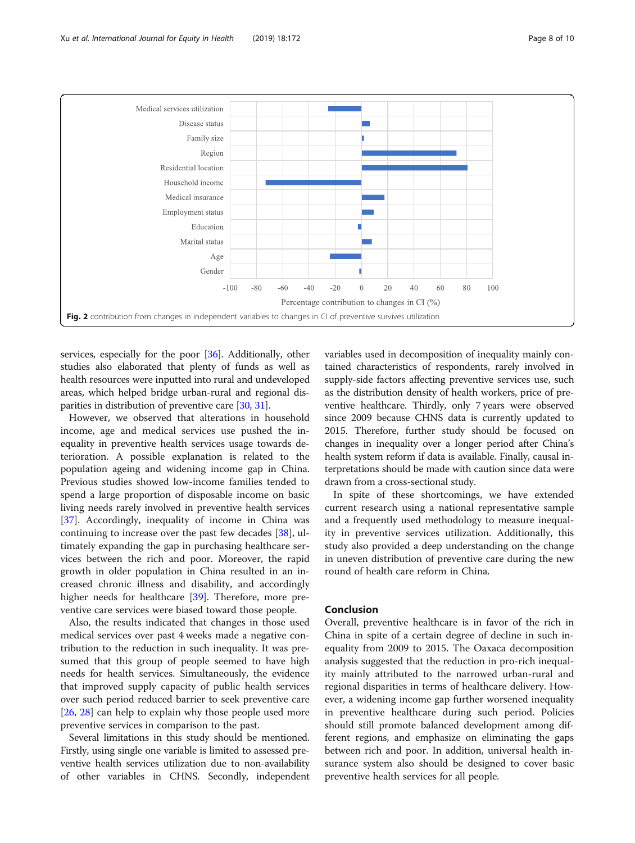<span id="page-7-0"></span>

services, especially for the poor [[36](#page-9-0)]. Additionally, other studies also elaborated that plenty of funds as well as health resources were inputted into rural and undeveloped areas, which helped bridge urban-rural and regional disparities in distribution of preventive care [[30](#page-8-0), [31\]](#page-8-0).

However, we observed that alterations in household income, age and medical services use pushed the inequality in preventive health services usage towards deterioration. A possible explanation is related to the population ageing and widening income gap in China. Previous studies showed low-income families tended to spend a large proportion of disposable income on basic living needs rarely involved in preventive health services [[37\]](#page-9-0). Accordingly, inequality of income in China was continuing to increase over the past few decades [\[38\]](#page-9-0), ultimately expanding the gap in purchasing healthcare services between the rich and poor. Moreover, the rapid growth in older population in China resulted in an increased chronic illness and disability, and accordingly higher needs for healthcare [[39\]](#page-9-0). Therefore, more preventive care services were biased toward those people.

Also, the results indicated that changes in those used medical services over past 4 weeks made a negative contribution to the reduction in such inequality. It was presumed that this group of people seemed to have high needs for health services. Simultaneously, the evidence that improved supply capacity of public health services over such period reduced barrier to seek preventive care [[26,](#page-8-0) [28\]](#page-8-0) can help to explain why those people used more preventive services in comparison to the past.

Several limitations in this study should be mentioned. Firstly, using single one variable is limited to assessed preventive health services utilization due to non-availability of other variables in CHNS. Secondly, independent variables used in decomposition of inequality mainly contained characteristics of respondents, rarely involved in supply-side factors affecting preventive services use, such as the distribution density of health workers, price of preventive healthcare. Thirdly, only 7 years were observed since 2009 because CHNS data is currently updated to 2015. Therefore, further study should be focused on changes in inequality over a longer period after China's health system reform if data is available. Finally, causal interpretations should be made with caution since data were drawn from a cross-sectional study.

In spite of these shortcomings, we have extended current research using a national representative sample and a frequently used methodology to measure inequality in preventive services utilization. Additionally, this study also provided a deep understanding on the change in uneven distribution of preventive care during the new round of health care reform in China.

# Conclusion

Overall, preventive healthcare is in favor of the rich in China in spite of a certain degree of decline in such inequality from 2009 to 2015. The Oaxaca decomposition analysis suggested that the reduction in pro-rich inequality mainly attributed to the narrowed urban-rural and regional disparities in terms of healthcare delivery. However, a widening income gap further worsened inequality in preventive healthcare during such period. Policies should still promote balanced development among different regions, and emphasize on eliminating the gaps between rich and poor. In addition, universal health insurance system also should be designed to cover basic preventive health services for all people.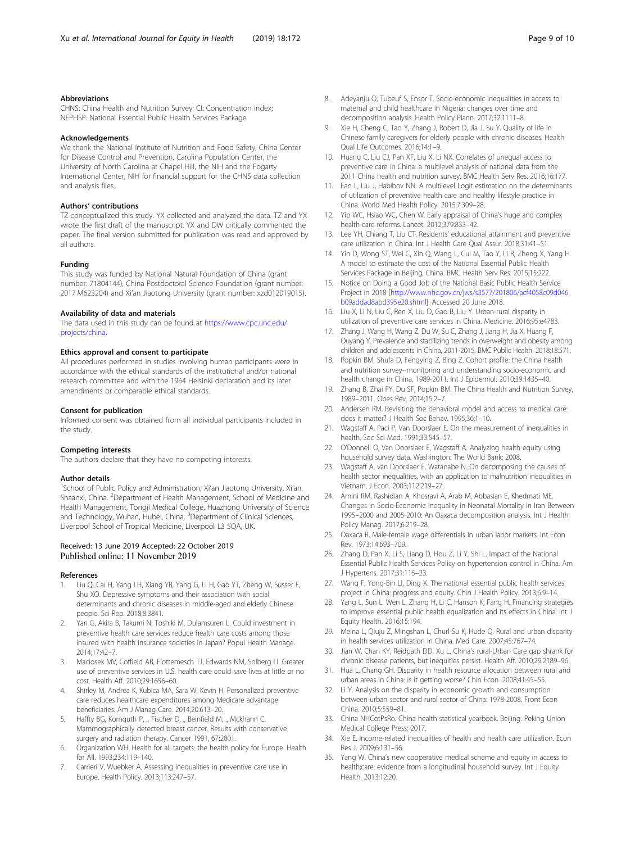# <span id="page-8-0"></span>Abbreviations

CHNS: China Health and Nutrition Survey; CI: Concentration index; NEPHSP: National Essential Public Health Services Package

### Acknowledgements

We thank the National Institute of Nutrition and Food Safety, China Center for Disease Control and Prevention, Carolina Population Center, the University of North Carolina at Chapel Hill, the NIH and the Fogarty International Center, NIH for financial support for the CHNS data collection and analysis files.

# Authors' contributions

TZ conceptualized this study. YX collected and analyzed the data. TZ and YX wrote the first draft of the manuscript. YX and DW critically commented the paper. The final version submitted for publication was read and approved by all authors.

#### Funding

This study was funded by National Natural Foundation of China (grant number: 71804144), China Postdoctoral Science Foundation (grant number: 2017 M623204) and Xi'an Jiaotong University (grant number: xzd012019015).

#### Availability of data and materials

The data used in this study can be found at [https://www.cpc.unc.edu/](https://www.cpc.unc.edu/projects/china) [projects/china](https://www.cpc.unc.edu/projects/china).

### Ethics approval and consent to participate

All procedures performed in studies involving human participants were in accordance with the ethical standards of the institutional and/or national research committee and with the 1964 Helsinki declaration and its later amendments or comparable ethical standards.

#### Consent for publication

Informed consent was obtained from all individual participants included in the study.

#### Competing interests

The authors declare that they have no competing interests.

#### Author details

<sup>1</sup>School of Public Policy and Administration, Xi'an Jiaotong University, Xi'an, Shaanxi, China. <sup>2</sup>Department of Health Management, School of Medicine and Health Management, Tongji Medical College, Huazhong University of Science and Technology, Wuhan, Hubei, China. <sup>3</sup>Department of Clinical Sciences, Liverpool School of Tropical Medicine, Liverpool L3 5QA, UK.

# Received: 13 June 2019 Accepted: 22 October 2019 Published online: 11 November 2019

#### References

- 1. Liu Q, Cai H, Yang LH, Xiang YB, Yang G, Li H, Gao YT, Zheng W, Susser E, Shu XO. Depressive symptoms and their association with social determinants and chronic diseases in middle-aged and elderly Chinese people. Sci Rep. 2018;8:3841.
- Yan G, Akira B, Takumi N, Toshiki M, Dulamsuren L. Could investment in preventive health care services reduce health care costs among those insured with health insurance societies in Japan? Popul Health Manage. 2014;17:42–7.
- 3. Maciosek MV, Coffield AB, Flottemesch TJ, Edwards NM, Solberg LI. Greater use of preventive services in U.S. health care could save lives at little or no cost. Health Aff. 2010;29:1656–60.
- Shirley M, Andrea K, Kubica MA, Sara W, Kevin H. Personalized preventive care reduces healthcare expenditures among Medicare advantage beneficiaries. Am J Manag Care. 2014;20:613–20.
- 5. Haffty BG, Kornguth P, ., Fischer D, ., Beinfield M, ., Mckhann C, Mammographically detected breast cancer. Results with conservative surgery and radiation therapy. Cancer 1991, 67:2801.
- 6. Organization WH. Health for all targets: the health policy for Europe. Health for All. 1993;234:119–140.
- Carrieri V, Wuebker A. Assessing inequalities in preventive care use in Europe. Health Policy. 2013;113:247–57.
- 8. Adeyanju O, Tubeuf S, Ensor T. Socio-economic inequalities in access to maternal and child healthcare in Nigeria: changes over time and decomposition analysis. Health Policy Plann. 2017;32:1111–8.
- Xie H, Cheng C, Tao Y, Zhang J, Robert D, Jia J, Su Y. Quality of life in Chinese family caregivers for elderly people with chronic diseases. Health Qual Life Outcomes. 2016;14:1–9.
- 10. Huang C, Liu CJ, Pan XF, Liu X, Li NX. Correlates of unequal access to preventive care in China: a multilevel analysis of national data from the 2011 China health and nutrition survey. BMC Health Serv Res. 2016;16:177.
- 11. Fan L, Liu J, Habibov NN. A multilevel Logit estimation on the determinants of utilization of preventive health care and healthy lifestyle practice in China. World Med Health Policy. 2015;7:309–28.
- 12. Yip WC, Hsiao WC, Chen W. Early appraisal of China's huge and complex health-care reforms. Lancet. 2012;379:833–42.
- 13. Lee YH, Chiang T, Liu CT. Residents' educational attainment and preventive care utilization in China. Int J Health Care Qual Assur. 2018;31:41–51.
- 14. Yin D, Wong ST, Wei C, Xin Q, Wang L, Cui M, Tao Y, Li R, Zheng X, Yang H. A model to estimate the cost of the National Essential Public Health Services Package in Beijing, China. BMC Health Serv Res. 2015;15:222.
- 15. Notice on Doing a Good Job of the National Basic Public Health Service Project in 2018 [[http://www.nhc.gov.cn/jws/s3577/201806/acf4058c09d046](http://www.nhc.gov.cn/jws/s3577/201806/acf4058c09d046b09addad8abd395e20.shtml) [b09addad8abd395e20.shtml](http://www.nhc.gov.cn/jws/s3577/201806/acf4058c09d046b09addad8abd395e20.shtml)]. Accessed 20 June 2018.
- 16. Liu X, Li N, Liu C, Ren X, Liu D, Gao B, Liu Y. Urban-rural disparity in utilization of preventive care services in China. Medicine. 2016;95:e4783.
- 17. Zhang J, Wang H, Wang Z, Du W, Su C, Zhang J, Jiang H, Jia X, Huang F, Ouyang Y. Prevalence and stabilizing trends in overweight and obesity among children and adolescents in China, 2011-2015. BMC Public Health. 2018;18:571.
- 18. Popkin BM, Shufa D, Fengying Z, Bing Z. Cohort profile: the China health and nutrition survey--monitoring and understanding socio-economic and health change in China, 1989-2011. Int J Epidemiol. 2010;39:1435–40.
- 19. Zhang B, Zhai FY, Du SF, Popkin BM. The China Health and Nutrition Survey, 1989–2011. Obes Rev. 2014;15:2–7.
- 20. Andersen RM. Revisiting the behavioral model and access to medical care: does it matter? J Health Soc Behav. 1995;36:1–10.
- 21. Wagstaff A, Paci P, Van Doorslaer E. On the measurement of inequalities in health. Soc Sci Med. 1991;33:545–57.
- 22. O'Donnell O, Van Doorslaer E, Wagstaff A. Analyzing health equity using household survey data. Washington: The World Bank; 2008.
- 23. Wagstaff A, van Doorslaer E, Watanabe N. On decomposing the causes of health sector inequalities, with an application to malnutrition inequalities in Vietnam. J Econ. 2003;112:219–27.
- 24. Amini RM, Rashidian A, Khosravi A, Arab M, Abbasian E, Khedmati ME. Changes in Socio-Economic Inequality in Neonatal Mortality in Iran Between 1995–2000 and 2005-2010: An Oaxaca decomposition analysis. Int J Health Policy Manag. 2017;6:219–28.
- 25. Oaxaca R. Male-female wage differentials in urban labor markets. Int Econ Rev. 1973;14:693–709.
- 26. Zhang D, Pan X, Li S, Liang D, Hou Z, Li Y, Shi L. Impact of the National Essential Public Health Services Policy on hypertension control in China. Am J Hypertens. 2017;31:115–23.
- 27. Wang F, Yong-Bin LI, Ding X. The national essential public health services project in China: progress and equity. Chin J Health Policy. 2013;6:9–14.
- 28. Yang L, Sun L, Wen L, Zhang H, Li C, Hanson K, Fang H. Financing strategies to improve essential public health equalization and its effects in China. Int J Equity Health. 2016;15:194.
- 29. Meina L, Qiuju Z, Mingshan L, Churl-Su K, Hude Q. Rural and urban disparity in health services utilization in China. Med Care. 2007;45:767–74.
- 30. Jian W, Chan KY, Reidpath DD, Xu L. China's rural-Urban Care gap shrank for chronic disease patients, but inequities persist. Health Aff. 2010;29:2189–96.
- 31. Hua L, Chang GH. Disparity in health resource allocation between rural and urban areas in China: is it getting worse? Chin Econ. 2008;41:45–55.
- 32. Li Y. Analysis on the disparity in economic growth and consumption between urban sector and rural sector of China: 1978-2008. Front Econ China. 2010;5:559–81.
- 33. China NHCotPsRo. China health statistical yearbook. Beijing: Peking Union Medical College Press; 2017.
- 34. Xie E. Income-related inequalities of health and health care utilization. Econ Res J. 2009;6:131–56.
- 35. Yang W. China's new cooperative medical scheme and equity in access to health;care: evidence from a longitudinal household survey. Int J Equity Health. 2013;12:20.